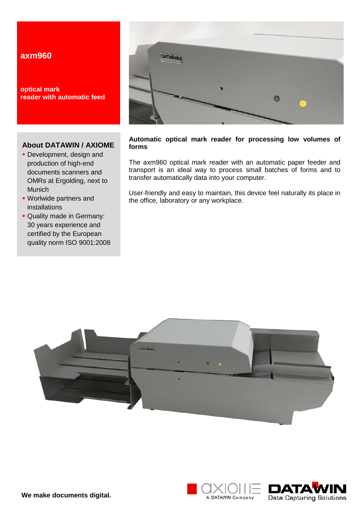# **axm960**

**optical mark reader with automatic feed**

### **About DATAWIN / AXIOME**

- **Development, design and** production of high-end documents scanners and OMRs at Ergolding, next to Munich
- Worlwide partners and installations
- **Quality made in Germany:** 30 years experience and certified by the European quality norm ISO 9001:2008



#### **Automatic optical mark reader for processing low volumes of forms**

The axm960 optical mark reader with an automatic paper feeder and transport is an ideal way to process small batches of forms and to transfer automatically data into your computer.

User-friendly and easy to maintain, this device feel naturally its place in the office, laboratory or any workplace.





**We make documents digital.**